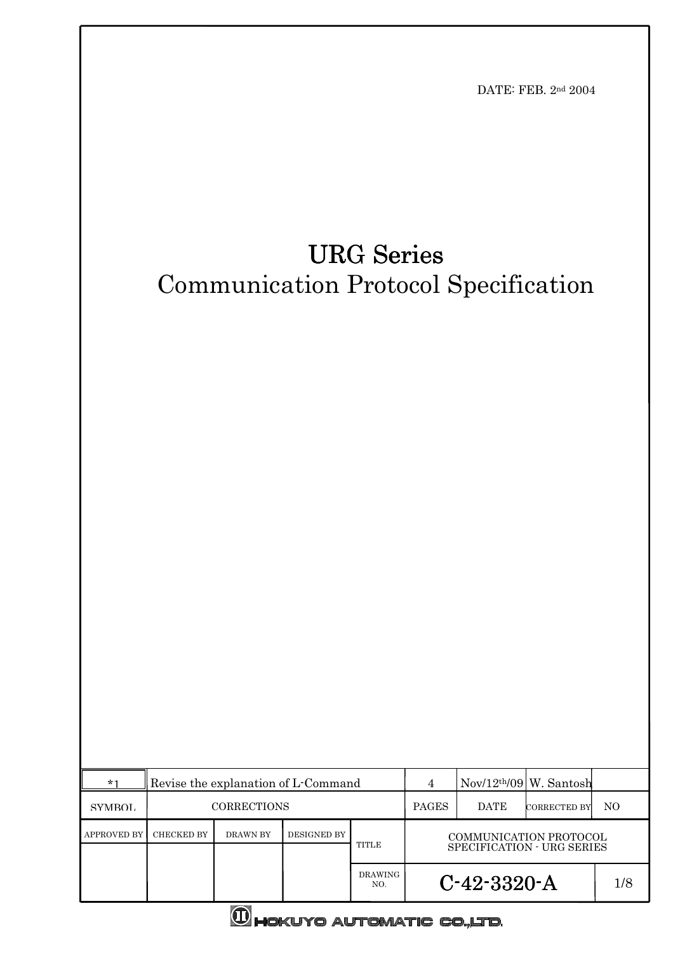

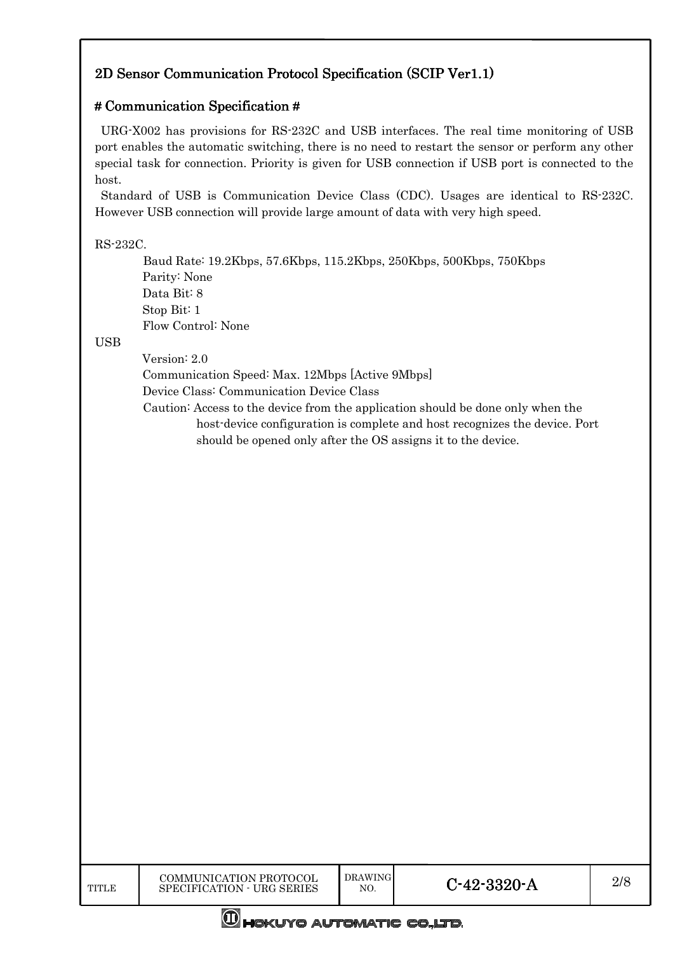# 2D Sensor Communication Protocol Specification (SCIP Ver1.1)

# # Communication Specification #

URG-X002 has provisions for RS-232C and USB interfaces. The real time monitoring of USB port enables the automatic switching, there is no need to restart the sensor or perform any other special task for connection. Priority is given for USB connection if USB port is connected to the host.

Standard of USB is Communication Device Class (CDC). Usages are identical to RS-232C. However USB connection will provide large amount of data with very high speed.

# RS-232C.

Baud Rate: 19.2Kbps, 57.6Kbps, 115.2Kbps, 250Kbps, 500Kbps, 750Kbps Parity: None Data Bit: 8 Stop Bit: 1 Flow Control: None

# **USB**

Version: 2.0

Communication Speed: Max. 12Mbps [Active 9Mbps] Device Class: Communication Device Class

Caution: Access to the device from the application should be done only when the host-device configuration is complete and host recognizes the device. Port should be opened only after the OS assigns it to the device.

**M**HOKUYO AUTOMATIC CO.,LTD.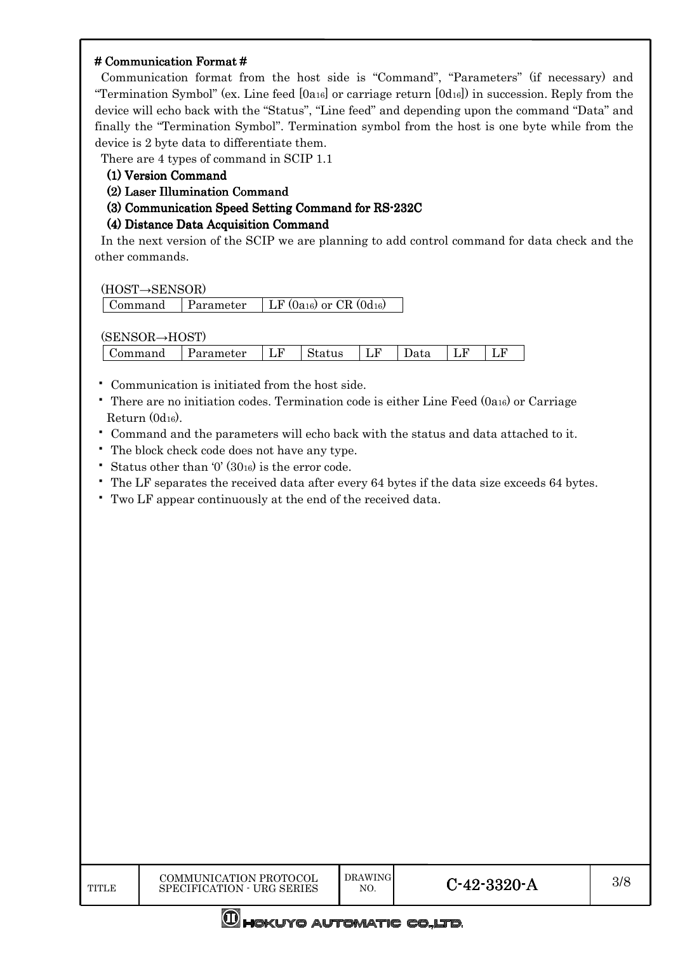#### $#$  Communication Format  $#$

Communication format from the host side is "Command", "Parameters" (if necessary) and "Termination Symbol" (ex. Line feed [0a16] or carriage return [0d16]) in succession. Reply from the device will echo back with the "Status", "Line feed" and depending upon the command "Data" and finally the "Termination Symbol". Termination symbol from the host is one byte while from the device is 2 byte data to differentiate them.

There are 4 types of command in SCIP 1.1

- (1) Version Command (1) Version Command
- (2) Laser Illumination Command
- (3) Communication Speed Setting Command for RS-232C

# (4) Distance Data Acquisition Command (4) Distance

In the next version of the SCIP we are planning to add control command for data check and the other commands.

(HOST→SENSOR)

(SENSOR→HOST)

| .       | .         |    |        |    |      |   |    |
|---------|-----------|----|--------|----|------|---|----|
| Jommand | Parameter | Lľ | status | ⊥⊥ | лата | ┸ | ⊥⊥ |

- Communication is initiated from the host side.
- There are no initiation codes. Termination code is either Line Feed (0a16) or Carriage Return (0d16).
- Command and the parameters will echo back with the status and data attached to it.
- The block check code does not have any type.
- Status other than  $0'(30_{16})$  is the error code.
- The LF separates the received data after every 64 bytes if the data size exceeds 64 bytes.
- Two LF appear continuously at the end of the received data.

**WHOKUYO AUTOMATIC CO.,LTD.**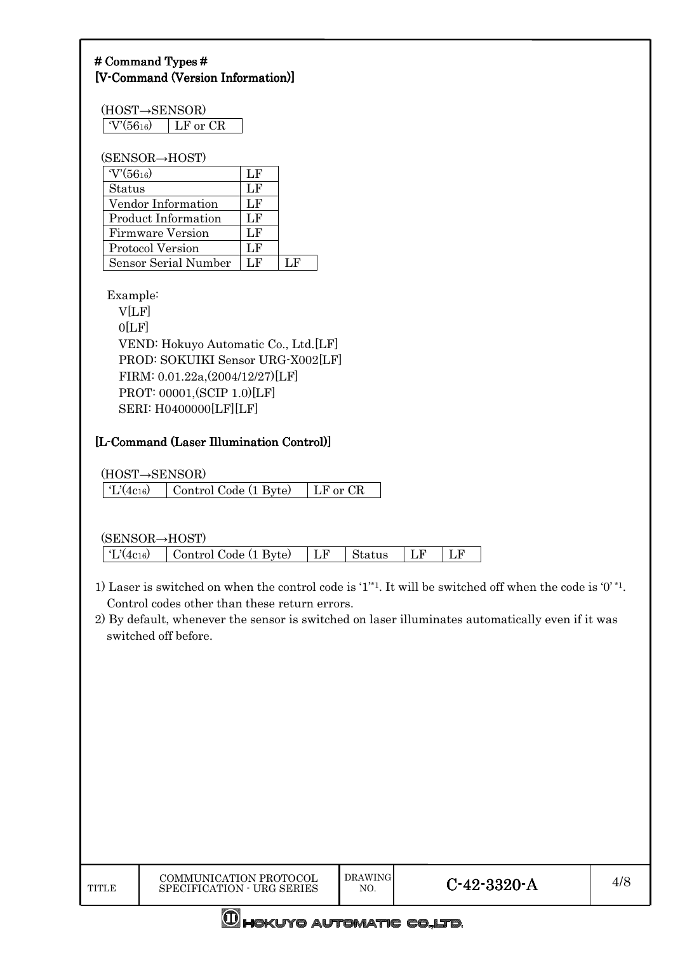# # Command Types # [V-Command (Version Information)]

| (HOST→SENSOR) |                   |  |
|---------------|-------------------|--|
| $V(56_{16})$  | $\perp$ LF or CR. |  |

#### (SENSOR→HOST)

| $V(56_{16})$               | LF  |     |
|----------------------------|-----|-----|
| <b>Status</b>              | LF  |     |
| Vendor Information         | LF  |     |
| <b>Product Information</b> | LF  |     |
| <b>Firmware Version</b>    | LF  |     |
| <b>Protocol Version</b>    | LF  |     |
| Sensor Serial Number       | L F | ⊺.F |

Example:

V[LF]  $0[LF]$ VEND: Hokuyo Automatic Co., Ltd.[LF] PROD: SOKUIKI Sensor URG-X002[LF] FIRM: 0.01.22a,(2004/12/27)[LF] PROT: 00001,(SCIP 1.0)[LF] SERI: H0400000[LF][LF]

# [L-Command (Laser Illumination Control)]

(HOST→SENSOR)

| $\mid$ 'L'(4c16) | Control Code (1 Byte) | LF or CR |
|------------------|-----------------------|----------|
|------------------|-----------------------|----------|

(SENSOR→HOST)

'L'(4c16) Control Code (1 Byte) LF Status LF LF

- 1) Laser is switched on when the control code is '1<sup>'\*1</sup>. It will be switched off when the code is '0'<sup>\*1</sup>. Control codes other than these return errors.
- 2) By default, whenever the sensor is switched on laser illuminates automatically even if it was switched off before.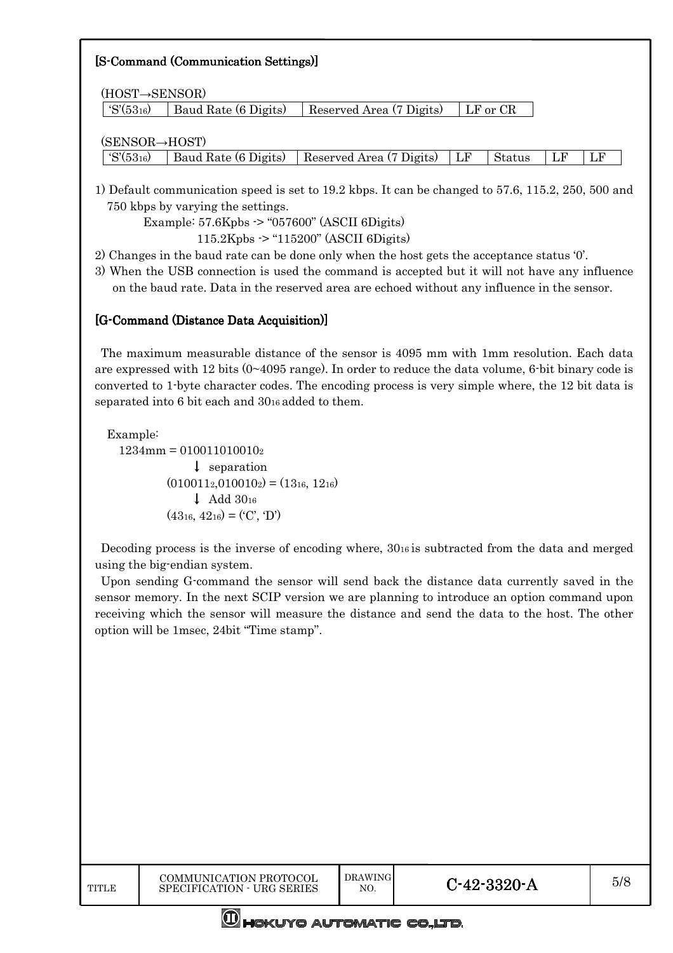| [S-Command (Communication Settings)] |                      |                          |    |              |    |    |
|--------------------------------------|----------------------|--------------------------|----|--------------|----|----|
| (HOST→SENSOR)                        |                      |                          |    |              |    |    |
| $\rm S'(53_{16})$                    | Baud Rate (6 Digits) | Reserved Area (7 Digits) |    | $LF$ or $CR$ |    |    |
| $(SENSOR \rightarrow HOST)$          |                      |                          |    |              |    |    |
| $\rm S'(53_{16})$                    | Baud Rate (6 Digits) | Reserved Area (7 Digits) | LF | Status       | LF | LF |

1) Default communication speed is set to 19.2 kbps. It can be changed to 57.6, 115.2, 250, 500 and 750 kbps by varying the settings.

Example: 57.6Kpbs -> "057600" (ASCII 6Digits) 115.2Kpbs -> "115200" (ASCII 6Digits)

2) Changes in the baud rate can be done only when the host gets the acceptance status '0'.

3) When the USB connection is used the command is accepted but it will not have any influence on the baud rate. Data in the reserved area are echoed without any influence in the sensor.

# [G-Command (Distance Data Acquisition)]

The maximum measurable distance of the sensor is 4095 mm with 1mm resolution. Each data are expressed with 12 bits  $(0 \sim 4095 \text{ range})$ . In order to reduce the data volume, 6-bit binary code is converted to 1-byte character codes. The encoding process is very simple where, the 12 bit data is separated into 6 bit each and 3016 added to them.

Example:

 $1234$ mm = 0100110100102 ↓ separation  $(010011<sub>2</sub>,010010<sub>2</sub>) = (13<sub>16</sub>, 12<sub>16</sub>)$ ↓ Add 30<sup>16</sup>  $(43_{16}, 42_{16}) = ('C', 'D')$ 

Decoding process is the inverse of encoding where, 3016 is subtracted from the data and merged using the big-endian system.

Upon sending G-command the sensor will send back the distance data currently saved in the sensor memory. In the next SCIP version we are planning to introduce an option command upon receiving which the sensor will measure the distance and send the data to the host. The other option will be 1msec, 24bit "Time stamp".

**M**HOKUYO AUTOMATIC CO.,LTD.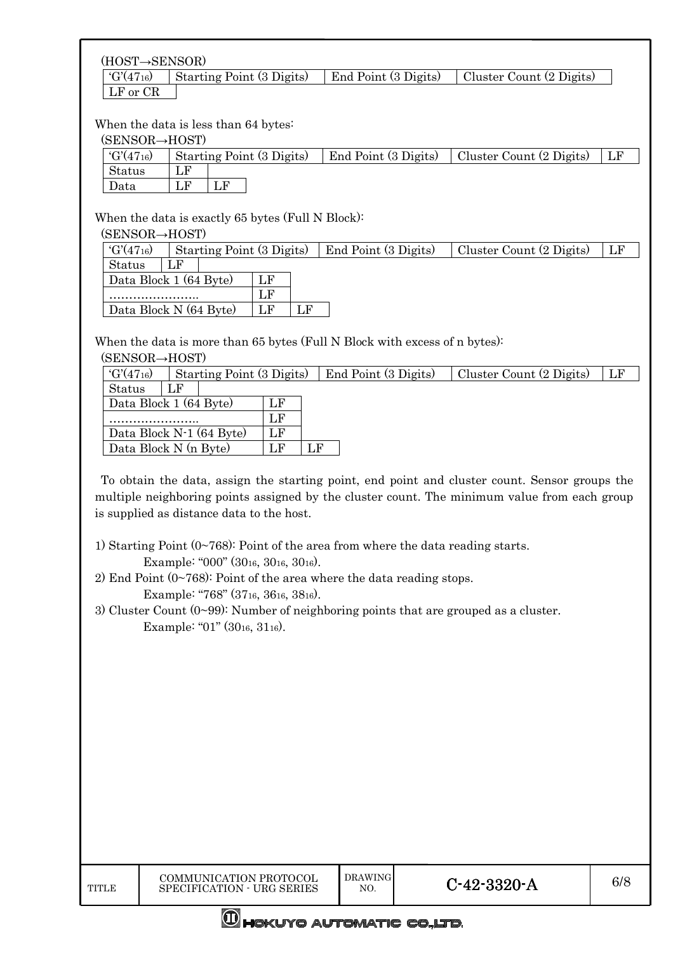#### (HOST→SENSOR)

 $'G'(47_{16})$  Starting Point (3 Digits) End Point (3 Digits) Cluster Count (2 Digits) LF or CR

#### When the data is less than 64 bytes:

(SENSOR→HOST)

| 101110010 11001                 |                           |                      |                          |    |
|---------------------------------|---------------------------|----------------------|--------------------------|----|
| $\Gamma$ 'G'(47 <sub>16</sub> ) | Starting Point (3 Digits) | End Point (3 Digits) | Cluster Count (2 Digits) | LF |
| <b>Status</b>                   |                           |                      |                          |    |
| Data                            |                           |                      |                          |    |

When the data is exactly 65 bytes (Full N Block):

(SENSOR→HOST)

| $G'(47_{16})$<br>Starting Point (3 Digits) |          | End Point (3 Digits) | Cluster Count (2 Digits) |  |
|--------------------------------------------|----------|----------------------|--------------------------|--|
| $_{\rm LF}$<br>Status                      |          |                      |                          |  |
| Data Block 1 (64 Byte)                     |          |                      |                          |  |
|                                            | LF       |                      |                          |  |
| Data Block N (64 Byte)                     | LF<br>LF |                      |                          |  |

When the data is more than 65 bytes (Full N Block with excess of n bytes):

| (SENSOR→HOST) |  |
|---------------|--|
|---------------|--|

| $G'(47_{16})$<br>Starting Point (3 Digits) |    |    | End Point (3 Digits) | Cluster Count (2 Digits) | LF |
|--------------------------------------------|----|----|----------------------|--------------------------|----|
| Status<br>LF                               |    |    |                      |                          |    |
| Data Block 1 (64 Byte)                     |    |    |                      |                          |    |
|                                            | τÆ |    |                      |                          |    |
| Data Block N-1 (64 Byte)                   | LF |    |                      |                          |    |
| Data Block N (n Byte)                      |    | LF |                      |                          |    |

To obtain the data, assign the starting point, end point and cluster count. Sensor groups the multiple neighboring points assigned by the cluster count. The minimum value from each group is supplied as distance data to the host.

- 1) Starting Point  $(0~768)$ : Point of the area from where the data reading starts. Example: "000" (3016, 3016, 3016).
- 2) End Point  $(0\nu 768)$ : Point of the area where the data reading stops.

Example: "768" (3716, 3616, 3816).

3) Cluster Count (0~99): Number of neighboring points that are grouped as a cluster. Example: "01" (3016, 3116).

**M**HOKUYO AUTOMATIC CO.,LTD.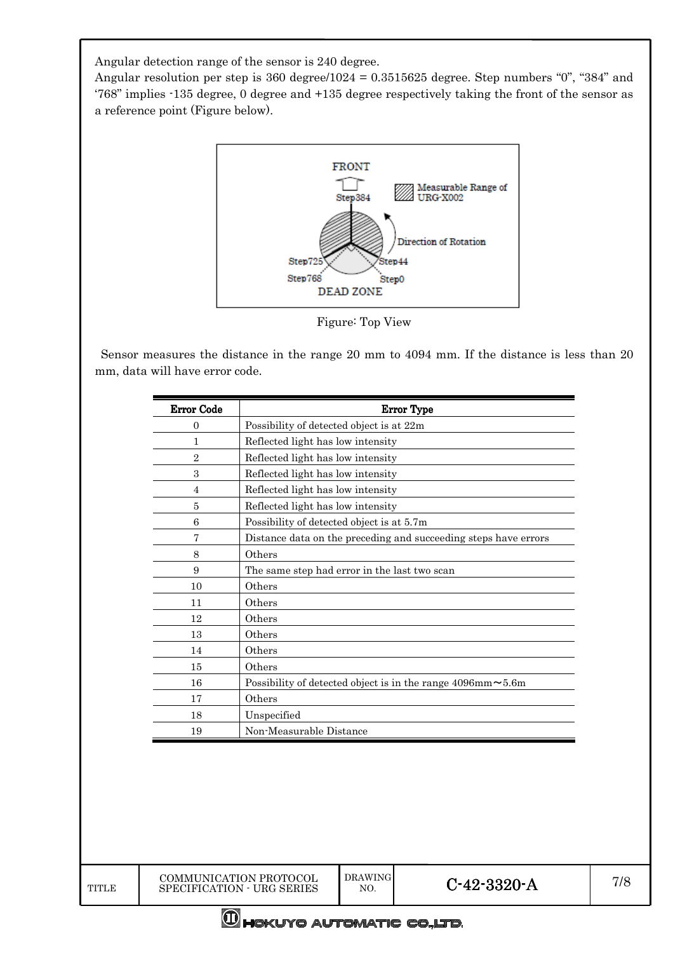Angular detection range of the sensor is 240 degree.

Angular resolution per step is 360 degree/1024 = 0.3515625 degree. Step numbers "0", "384" and '768" implies -135 degree, 0 degree and +135 degree respectively taking the front of the sensor as a reference point (Figure below).



Figure: Top View

Sensor measures the distance in the range 20 mm to 4094 mm. If the distance is less than 20 mm, data will have error code.

| <b>Error Code</b> | <b>Error Type</b>                                                     |
|-------------------|-----------------------------------------------------------------------|
| $\Omega$          | Possibility of detected object is at 22m                              |
| 1                 | Reflected light has low intensity                                     |
| $\overline{2}$    | Reflected light has low intensity                                     |
| 3                 | Reflected light has low intensity                                     |
| $\overline{4}$    | Reflected light has low intensity                                     |
| 5                 | Reflected light has low intensity                                     |
| 6                 | Possibility of detected object is at 5.7m                             |
| 7                 | Distance data on the preceding and succeeding steps have errors       |
| 8                 | Others                                                                |
| 9                 | The same step had error in the last two scan                          |
| 10                | Others                                                                |
| 11                | Others                                                                |
| 12                | Others                                                                |
| 13                | Others                                                                |
| 14                | Others                                                                |
| 15                | Others                                                                |
| 16                | Possibility of detected object is in the range $4096$ mm $\sim 5.6$ m |
| 17                | Others                                                                |
| 18                | Unspecified                                                           |
| 19                | Non-Measurable Distance                                               |